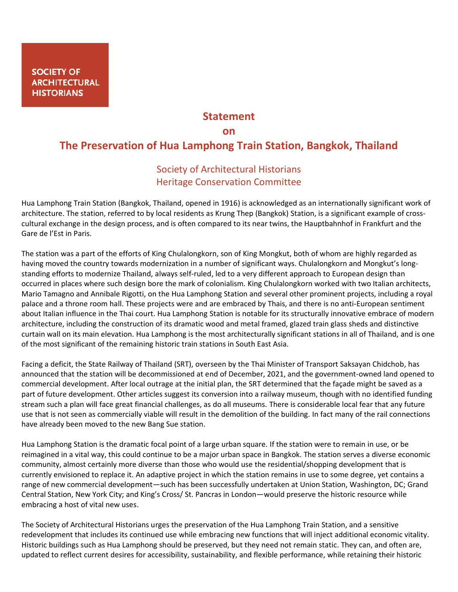## **Statement**

## **on**

## **The Preservation of Hua Lamphong Train Station, Bangkok, Thailand**

## Society of Architectural Historians Heritage Conservation Committee

Hua Lamphong Train Station (Bangkok, Thailand, opened in 1916) is acknowledged as an internationally significant work of architecture. The station, referred to by local residents as Krung Thep (Bangkok) Station, is a significant example of crosscultural exchange in the design process, and is often compared to its near twins, the Hauptbahnhof in Frankfurt and the Gare de l'Est in Paris.

The station was a part of the efforts of King Chulalongkorn, son of King Mongkut, both of whom are highly regarded as having moved the country towards modernization in a number of significant ways. Chulalongkorn and Mongkut's longstanding efforts to modernize Thailand, always self-ruled, led to a very different approach to European design than occurred in places where such design bore the mark of colonialism. King Chulalongkorn worked with two Italian architects, Mario Tamagno and Annibale Rigotti, on the Hua Lamphong Station and several other prominent projects, including a royal palace and a throne room hall. These projects were and are embraced by Thais, and there is no anti-European sentiment about Italian influence in the Thai court. Hua Lamphong Station is notable for its structurally innovative embrace of modern architecture, including the construction of its dramatic wood and metal framed, glazed train glass sheds and distinctive curtain wall on its main elevation. Hua Lamphong is the most architecturally significant stations in all of Thailand, and is one of the most significant of the remaining historic train stations in South East Asia.

Facing a deficit, the State Railway of Thailand (SRT), overseen by the Thai Minister of Transport Saksayan Chidchob, has announced that the station will be decommissioned at end of December, 2021, and the government-owned land opened to commercial development. After local outrage at the initial plan, the SRT determined that the façade might be saved as a part of future development. Other articles suggest its conversion into a railway museum, though with no identified funding stream such a plan will face great financial challenges, as do all museums. There is considerable local fear that any future use that is not seen as commercially viable will result in the demolition of the building. In fact many of the rail connections have already been moved to the new Bang Sue station.

Hua Lamphong Station is the dramatic focal point of a large urban square. If the station were to remain in use, or be reimagined in a vital way, this could continue to be a major urban space in Bangkok. The station serves a diverse economic community, almost certainly more diverse than those who would use the residential/shopping development that is currently envisioned to replace it. An adaptive project in which the station remains in use to some degree, yet contains a range of new commercial development—such has been successfully undertaken at Union Station, Washington, DC; Grand Central Station, New York City; and King's Cross/ St. Pancras in London—would preserve the historic resource while embracing a host of vital new uses.

The Society of Architectural Historians urges the preservation of the Hua Lamphong Train Station, and a sensitive redevelopment that includes its continued use while embracing new functions that will inject additional economic vitality. Historic buildings such as Hua Lamphong should be preserved, but they need not remain static. They can, and often are, updated to reflect current desires for accessibility, sustainability, and flexible performance, while retaining their historic